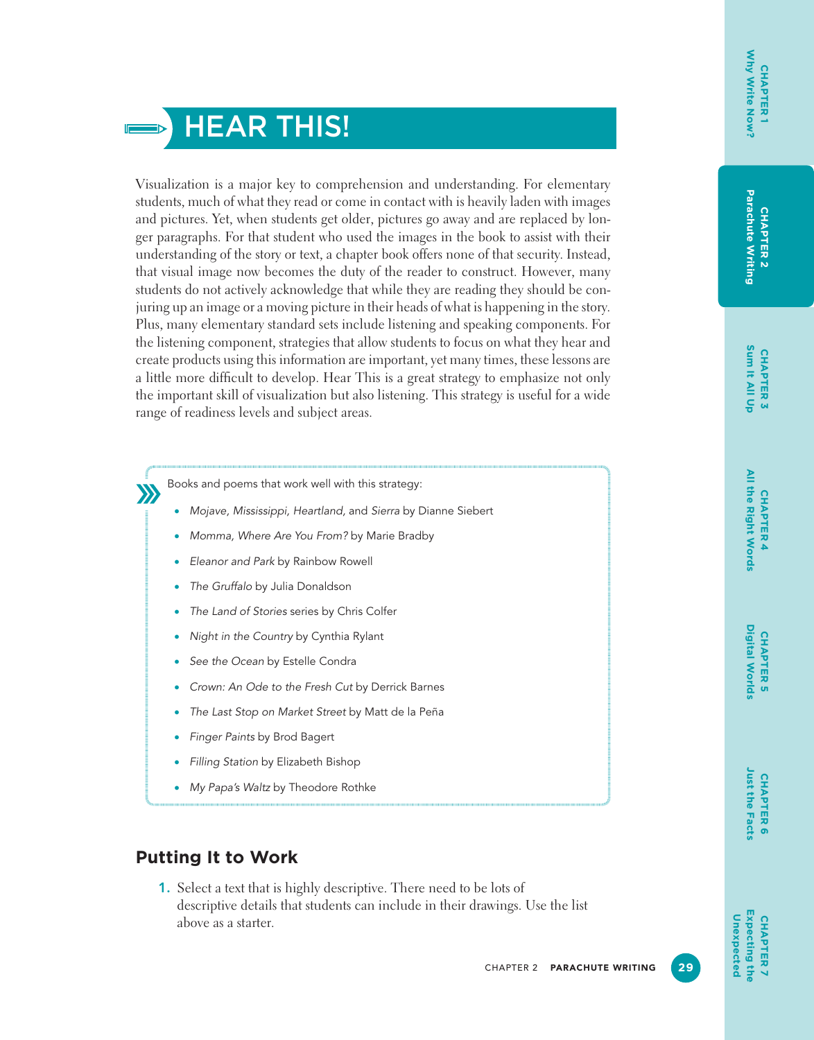

Visualization is a major key to comprehension and understanding. For elementary students, much of what they read or come in contact with is heavily laden with images and pictures. Yet, when students get older, pictures go away and are replaced by longer paragraphs. For that student who used the images in the book to assist with their understanding of the story or text, a chapter book offers none of that security. Instead, that visual image now becomes the duty of the reader to construct. However, many students do not actively acknowledge that while they are reading they should be conjuring up an image or a moving picture in their heads of what is happening in the story. Plus, many elementary standard sets include listening and speaking components. For the listening component, strategies that allow students to focus on what they hear and create products using this information are important, yet many times, these lessons are a little more difficult to develop. Hear This is a great strategy to emphasize not only the important skill of visualization but also listening. This strategy is useful for a wide range of readiness levels and subject areas.

Books and poems that work well with this strategy:

- *Mojave, Mississippi, Heartland,* and *Sierra* by Dianne Siebert
- *Momma, Where Are You From?* by Marie Bradby
- *Eleanor and Park* by Rainbow Rowell
- *The Gruffalo* by Julia Donaldson

 $\sum$ 

- *The Land of Stories* series by Chris Colfer
- *Night in the Country* by Cynthia Rylant
- *See the Ocean* by Estelle Condra
- *Crown: An Ode to the Fresh Cut* by Derrick Barnes
- *The Last Stop on Market Street* by Matt de la Peña
- *Finger Paints* by Brod Bagert
- *Filling Station* by Elizabeth Bishop
- *My Papa's Waltz* by Theodore Rothke

### **Putting It to Work**

1. Select a text that is highly descriptive. There need to be lots of descriptive details that students can include in their drawings. Use the list above as a starter.

**CHAPTER 6 Just the Facts**

Just the Facts **CHAPTER 6**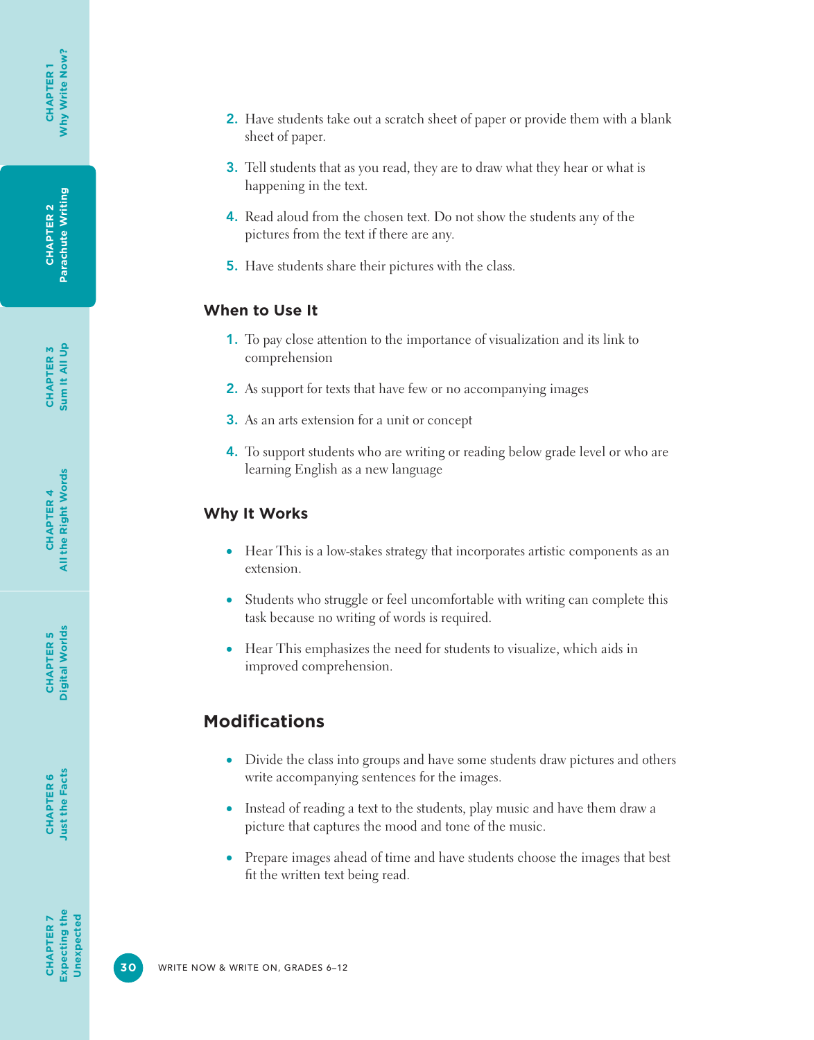**CHAPTER 6**<br>Just the Facts **Just the Facts CHAPTER 6**

- 2. Have students take out a scratch sheet of paper or provide them with a blank sheet of paper.
- **3.** Tell students that as you read, they are to draw what they hear or what is happening in the text.
- 4. Read aloud from the chosen text. Do not show the students any of the pictures from the text if there are any.
- 5. Have students share their pictures with the class.

#### **When to Use It**

- 1. To pay close attention to the importance of visualization and its link to comprehension
- 2. As support for texts that have few or no accompanying images
- 3. As an arts extension for a unit or concept
- 4. To support students who are writing or reading below grade level or who are learning English as a new language

## **Why It Works**

- Hear This is a low-stakes strategy that incorporates artistic components as an extension.
- Students who struggle or feel uncomfortable with writing can complete this task because no writing of words is required.
- Hear This emphasizes the need for students to visualize, which aids in improved comprehension.

## **Modifications**

- Divide the class into groups and have some students draw pictures and others write accompanying sentences for the images.
- Instead of reading a text to the students, play music and have them draw a picture that captures the mood and tone of the music.
- Prepare images ahead of time and have students choose the images that best fit the written text being read.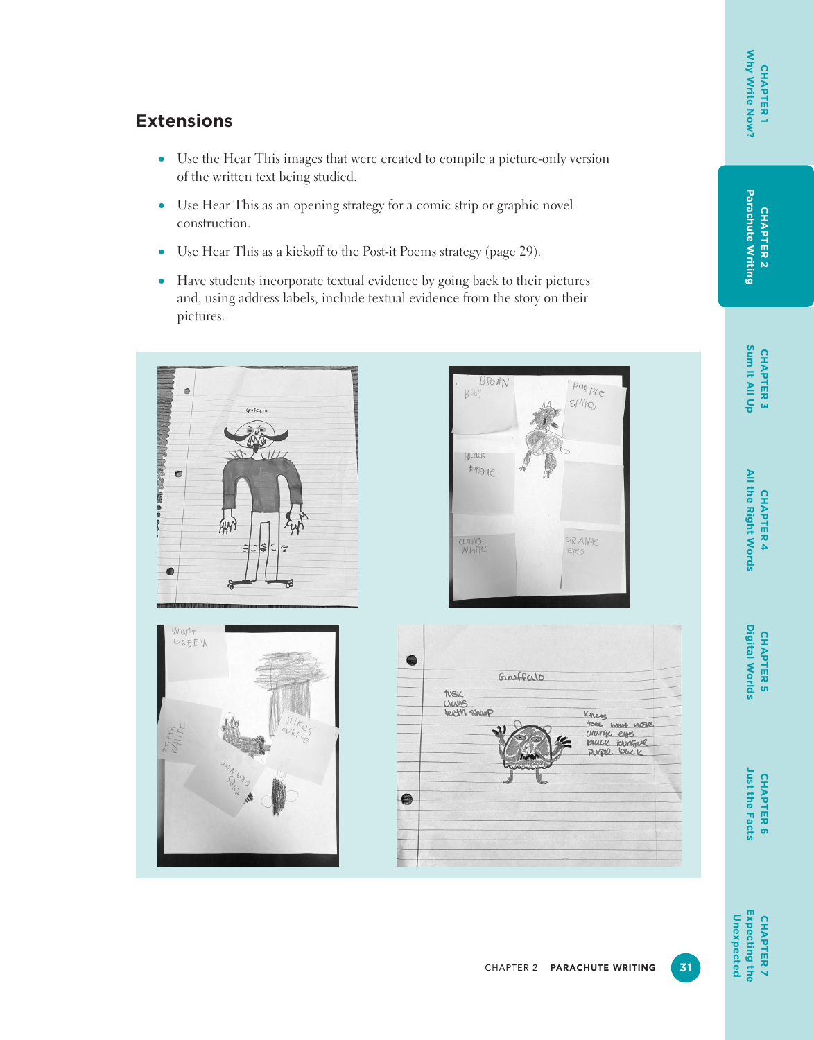# **CHAPTER 2<br>Parachute Writing Parachute Writing CHAPTER 2**

**CHAPTER 3**<br>Sum It All Up **Sum It All Up CHAPTER 3**

All the Right Words **All the Right Words** CHAPTER 4 **CHAPTER 4**

## **Extensions**

- Use the Hear This images that were created to compile a picture-only version of the written text being studied.
- Use Hear This as an opening strategy for a comic strip or graphic novel construction.
- Use Hear This as a kickoff to the Post-it Poems strategy (page 29).
- Have students incorporate textual evidence by going back to their pictures and, using address labels, include textual evidence from the story on their pictures.









Just the Facts **Just the Facts** CHAPTER 6 **CHAPTER 6**

**CHAPTER 5 Digital Worlds**

CHAPTER<sub>5</sub>

**Digital Worlds** 

**Expecting the**<br>Unexpected **Expecting the CHAPTER7 Unexpected CHAPTER 7**